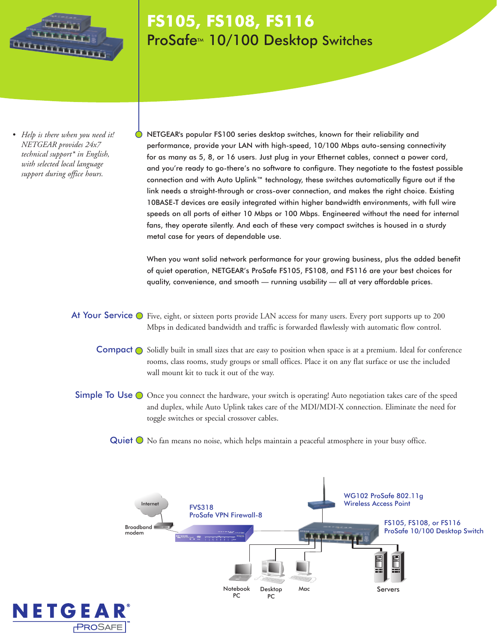

## **FS105, FS108, FS116** ProSafe<sup>™</sup> 10/100 Desktop Switches

*• Help is there when you need it! NETGEAR provides 24x7 technical support\* in English, with selected local language support during office hours.*

NETGEAR's popular FS100 series desktop switches, known for their reliability and performance, provide your LAN with high-speed, 10/100 Mbps auto-sensing connectivity for as many as 5, 8, or 16 users. Just plug in your Ethernet cables, connect a power cord, and you're ready to go-there's no software to configure. They negotiate to the fastest possible connection and with Auto Uplink™ technology, these switches automatically figure out if the link needs a straight-through or cross-over connection, and makes the right choice. Existing 10BASE-T devices are easily integrated within higher bandwidth environments, with full wire speeds on all ports of either 10 Mbps or 100 Mbps. Engineered without the need for internal fans, they operate silently. And each of these very compact switches is housed in a sturdy metal case for years of dependable use.

When you want solid network performance for your growing business, plus the added benefit of quiet operation, NETGEAR's ProSafe FS105, FS108, and FS116 are your best choices for quality, convenience, and smooth — running usability — all at very affordable prices.

At Your Service  $\bigcirc$  Five, eight, or sixteen ports provide LAN access for many users. Every port supports up to 200 Mbps in dedicated bandwidth and traffic is forwarded flawlessly with automatic flow control.

- Compact  $\bigcirc$  Solidly built in small sizes that are easy to position when space is at a premium. Ideal for conference rooms, class rooms, study groups or small offices. Place it on any flat surface or use the included wall mount kit to tuck it out of the way.
- Simple To Use O Once you connect the hardware, your switch is operating! Auto negotiation takes care of the speed and duplex, while Auto Uplink takes care of the MDI/MDI-X connection. Eliminate the need for toggle switches or special crossover cables.

Quiet  $\bigcirc$  No fan means no noise, which helps maintain a peaceful atmosphere in your busy office.